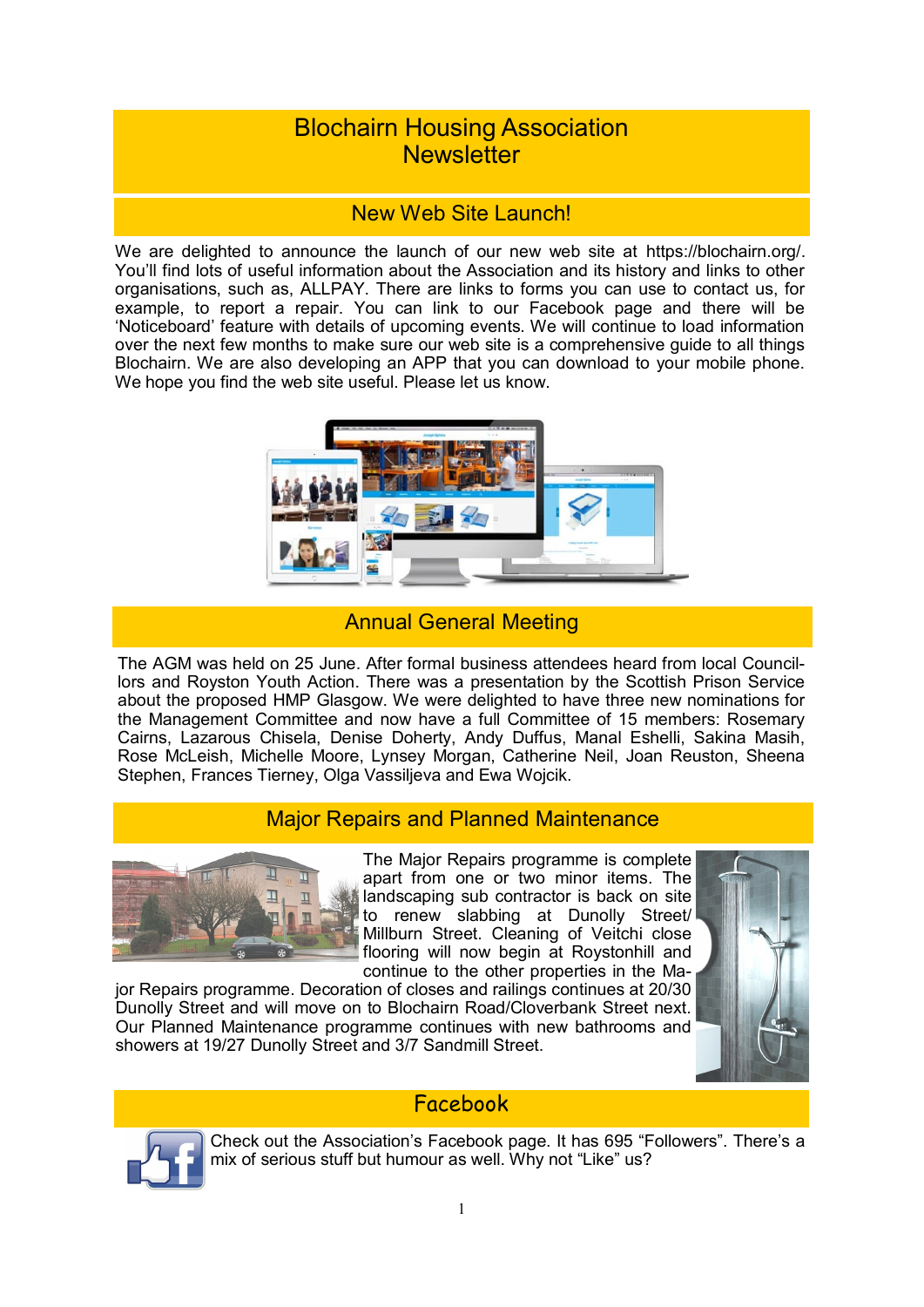# Blochairn Housing Association **Newsletter**

### New Web Site Launch!

We are delighted to announce the launch of our new web site at [https://blochairn.org/.](https://blochairn.org/) You'll find lots of useful information about the Association and its history and links to other organisations, such as, ALLPAY. There are links to forms you can use to contact us, for example, to report a repair. You can link to our Facebook page and there will be 'Noticeboard' feature with details of upcoming events. We will continue to load information over the next few months to make sure our web site is a comprehensive guide to all things Blochairn. We are also developing an APP that you can download to your mobile phone. We hope you find the web site useful. Please let us know.



## Annual General Meeting

The AGM was held on 25 June. After formal business attendees heard from local Councillors and Royston Youth Action. There was a presentation by the Scottish Prison Service about the proposed HMP Glasgow. We were delighted to have three new nominations for the Management Committee and now have a full Committee of 15 members: Rosemary Cairns, Lazarous Chisela, Denise Doherty, Andy Duffus, Manal Eshelli, Sakina Masih, Rose McLeish, Michelle Moore, Lynsey Morgan, Catherine Neil, Joan Reuston, Sheena Stephen, Frances Tierney, Olga Vassiljeva and Ewa Wojcik.

### Major Repairs and Planned Maintenance



The Major Repairs programme is complete apart from one or two minor items. The landscaping sub contractor is back on site to renew slabbing at Dunolly Street/ Millburn Street. Cleaning of Veitchi close flooring will now begin at Roystonhill and continue to the other properties in the Ma-

jor Repairs programme. Decoration of closes and railings continues at 20/30 Dunolly Street and will move on to Blochairn Road/Cloverbank Street next. Our Planned Maintenance programme continues with new bathrooms and showers at 19/27 Dunolly Street and 3/7 Sandmill Street.



### Facebook



Check out the Association's Facebook page. It has 695 "Followers". There's a mix of serious stuff but humour as well. Why not "Like" us?